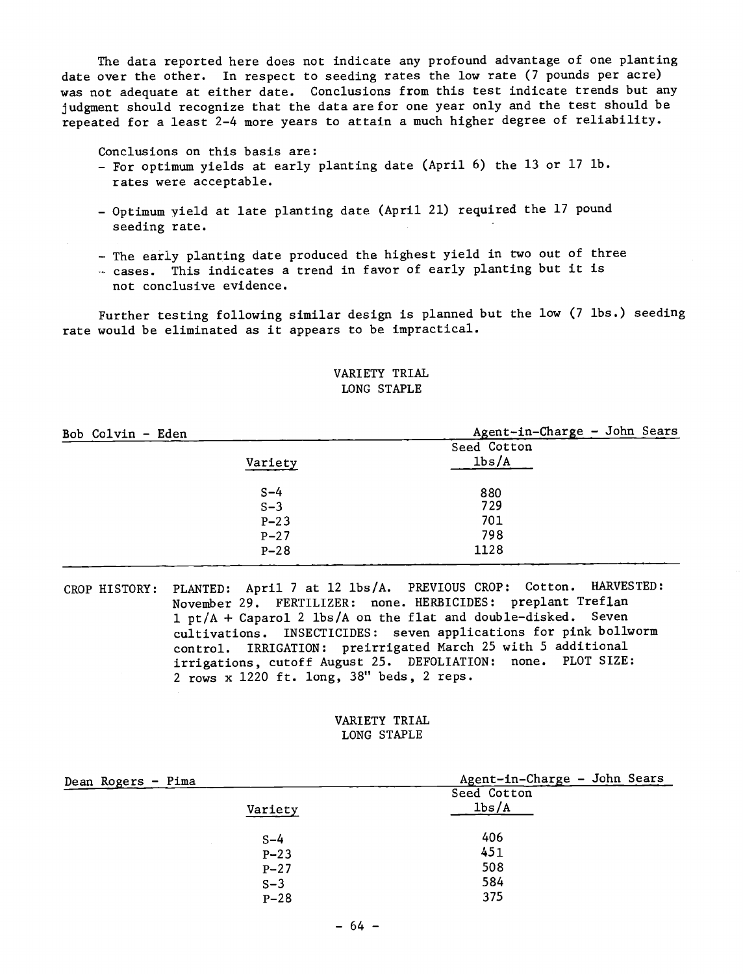The data reported here does not indicate any profound advantage of one planting date over the other. In respect to seeding rates the low rate (7 pounds per acre) was not adequate at either date. Conclusions from this test indicate trends but any judgment should recognize that the data are for one year only and the test should be repeated for a least 2-4 more years to attain a much higher degree of reliability.

Conclusions on this basis are:

- For optimum yields at early planting date (April 6) the 13 or 17 lb. rates were acceptable.
- Optimum yield at late planting date (April 21) required the 17 pound seeding rate.
- The early planting date produced the highest yield in two out of three
- cases. This indicates a trend in favor of early planting but it is not conclusive evidence.

Further testing following similar design is planned but the low (7 lbs.) seeding

rate would be eliminated as it appears to be impractical.

## VARIETY TRIAL LONG STAPLE

| Bob Colvin - Eden |         | Agent-in-Charge - John Sears |
|-------------------|---------|------------------------------|
|                   |         | Seed Cotton                  |
|                   | Variety | 1b s/A                       |
|                   | $S-4$   | 880                          |
|                   | $S-3$   | 729                          |
|                   | $P-23$  | 701                          |
|                   | $P-27$  | 798                          |
|                   | $P-28$  | 1128                         |
|                   |         |                              |

CROP HISTORY: PLANTED: April 7 at 12 lbs /A. PREVIOUS CROP: Cotton. HARVESTED: November 29. FERTILIZER: none. HERBICIDES: preplant Treflan 1 pt /A + Caparol 2 lbs /A on the flat and double- disked. Seven cultivations. INSECTICIDES: seven applications for pink bollworm control. IRRIGATION: preirrigated March 25 with 5 additional irrigations, cutoff August 25. DEFOLIATION: none. PLOT SIZE: 2 rows x 1220 ft. long, 38" beds, 2 reps.

## VARIETY TRIAL LONG STAPLE

| Dean Rogers - Pima | Agent-in-Charge - John Sears |
|--------------------|------------------------------|
|                    | Seed Cotton                  |
| Variety            | 1 <sub>bs</sub> /A           |
| $S-4$              | 406                          |
| $P - 23$           | 451                          |
| $P - 27$           | 508                          |
| $S-3$              | 584                          |
| $P-28$             | 375                          |